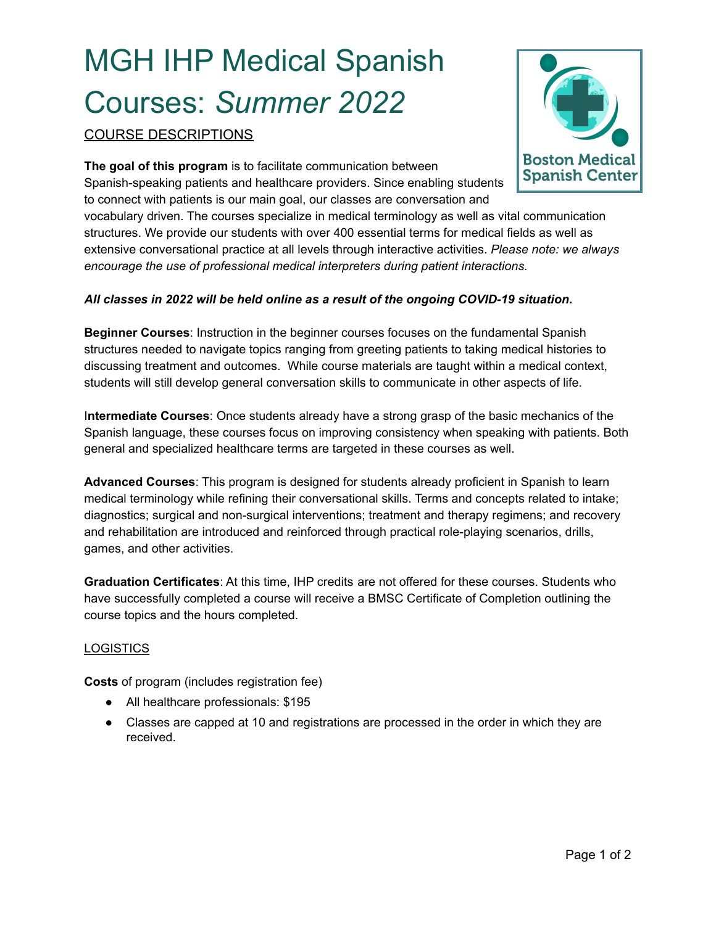# MGH IHP Medical Spanish Courses: *Summer 2022*

COURSE DESCRIPTIONS

**The goal of this program** is to facilitate communication between Spanish-speaking patients and healthcare providers. Since enabling students to connect with patients is our main goal, our classes are conversation and

vocabulary driven. The courses specialize in medical terminology as well as vital communication structures. We provide our students with over 400 essential terms for medical fields as well as extensive conversational practice at all levels through interactive activities. *Please note: we always encourage the use of professional medical interpreters during patient interactions.*

## *All classes in 2022 will be held online as a result of the ongoing COVID-19 situation.*

**Beginner Courses**: Instruction in the beginner courses focuses on the fundamental Spanish structures needed to navigate topics ranging from greeting patients to taking medical histories to discussing treatment and outcomes. While course materials are taught within a medical context, students will still develop general conversation skills to communicate in other aspects of life.

I**ntermediate Courses**: Once students already have a strong grasp of the basic mechanics of the Spanish language, these courses focus on improving consistency when speaking with patients. Both general and specialized healthcare terms are targeted in these courses as well.

**Advanced Courses**: This program is designed for students already proficient in Spanish to learn medical terminology while refining their conversational skills. Terms and concepts related to intake; diagnostics; surgical and non-surgical interventions; treatment and therapy regimens; and recovery and rehabilitation are introduced and reinforced through practical role-playing scenarios, drills, games, and other activities.

**Graduation Certificates**: At this time, IHP credits are not offered for these courses. Students who have successfully completed a course will receive a BMSC Certificate of Completion outlining the course topics and the hours completed.

### **LOGISTICS**

**Costs** of program (includes registration fee)

- All healthcare professionals: \$195
- Classes are capped at 10 and registrations are processed in the order in which they are received.